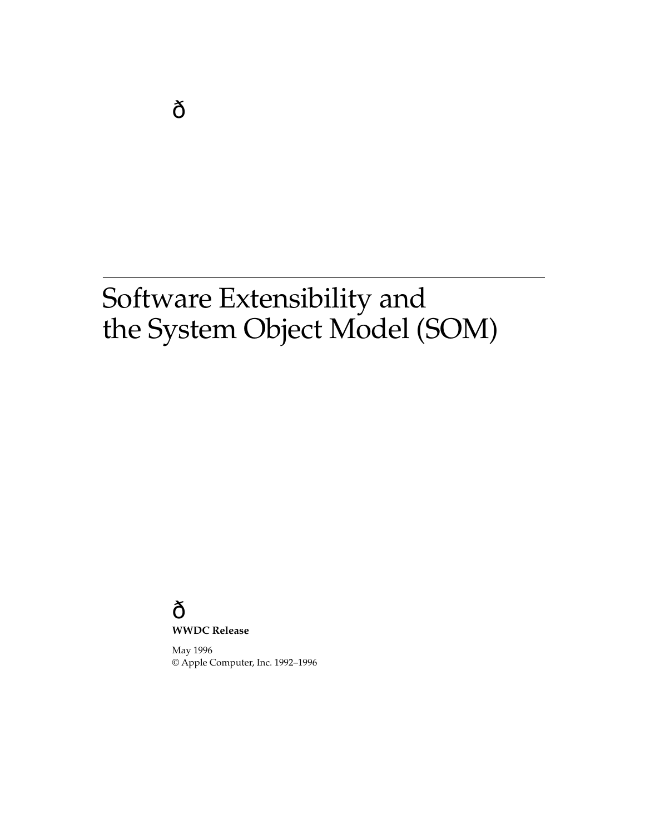### **WWDC Release**

May 1996 © Apple Computer, Inc. 1992–1996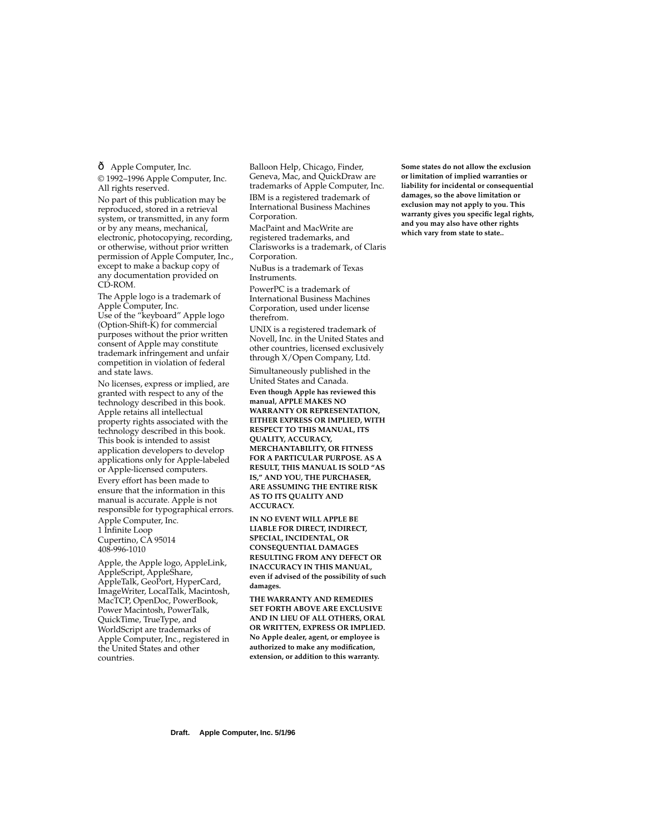Apple Computer, Inc.

© 1992–1996 Apple Computer, Inc. All rights reserved.

No part of this publication may be reproduced, stored in a retrieval system, or transmitted, in any form or by any means, mechanical, electronic, photocopying, recording, or otherwise, without prior written permission of Apple Computer, Inc., except to make a backup copy of any documentation provided on CD-ROM.

The Apple logo is a trademark of Apple Computer, Inc. Use of the "keyboard" Apple logo (Option-Shift-K) for commercial purposes without the prior written consent of Apple may constitute trademark infringement and unfair competition in violation of federal and state laws.

No licenses, express or implied, are granted with respect to any of the technology described in this book. Apple retains all intellectual property rights associated with the technology described in this book. This book is intended to assist application developers to develop applications only for Apple-labeled or Apple-licensed computers.

Every effort has been made to ensure that the information in this manual is accurate. Apple is not responsible for typographical errors. Apple Computer, Inc. 1 Infinite Loop

Cupertino, CA 95014 408-996-1010

Apple, the Apple logo, AppleLink, AppleScript, AppleShare, AppleTalk, GeoPort, HyperCard, ImageWriter, LocalTalk, Macintosh, MacTCP, OpenDoc, PowerBook, Power Macintosh, PowerTalk, QuickTime, TrueType, and WorldScript are trademarks of Apple Computer, Inc., registered in the United States and other countries.

Balloon Help, Chicago, Finder, Geneva, Mac, and QuickDraw are trademarks of Apple Computer, Inc.

IBM is a registered trademark of International Business Machines Corporation.

MacPaint and MacWrite are registered trademarks, and Clarisworks is a trademark, of Claris Corporation.

NuBus is a trademark of Texas Instruments.

PowerPC is a trademark of International Business Machines Corporation, used under license therefrom.

UNIX is a registered trademark of Novell, Inc. in the United States and other countries, licensed exclusively through X/Open Company, Ltd.

Simultaneously published in the United States and Canada.

**Even though Apple has reviewed this manual, APPLE MAKES NO WARRANTY OR REPRESENTATION, EITHER EXPRESS OR IMPLIED, WITH RESPECT TO THIS MANUAL, ITS QUALITY, ACCURACY, MERCHANTABILITY, OR FITNESS FOR A PARTICULAR PURPOSE. AS A RESULT, THIS MANUAL IS SOLD "AS IS," AND YOU, THE PURCHASER, ARE ASSUMING THE ENTIRE RISK AS TO ITS QUALITY AND ACCURACY.**

**IN NO EVENT WILL APPLE BE LIABLE FOR DIRECT, INDIRECT, SPECIAL, INCIDENTAL, OR CONSEQUENTIAL DAMAGES RESULTING FROM ANY DEFECT OR INACCURACY IN THIS MANUAL, even if advised of the possibility of such damages.**

**THE WARRANTY AND REMEDIES SET FORTH ABOVE ARE EXCLUSIVE AND IN LIEU OF ALL OTHERS, ORAL OR WRITTEN, EXPRESS OR IMPLIED. No Apple dealer, agent, or employee is authorized to make any modification, extension, or addition to this warranty.**

**Some states do not allow the exclusion or limitation of implied warranties or liability for incidental or consequential damages, so the above limitation or exclusion may not apply to you. This warranty gives you specific legal rights, and you may also have other rights which vary from state to state..**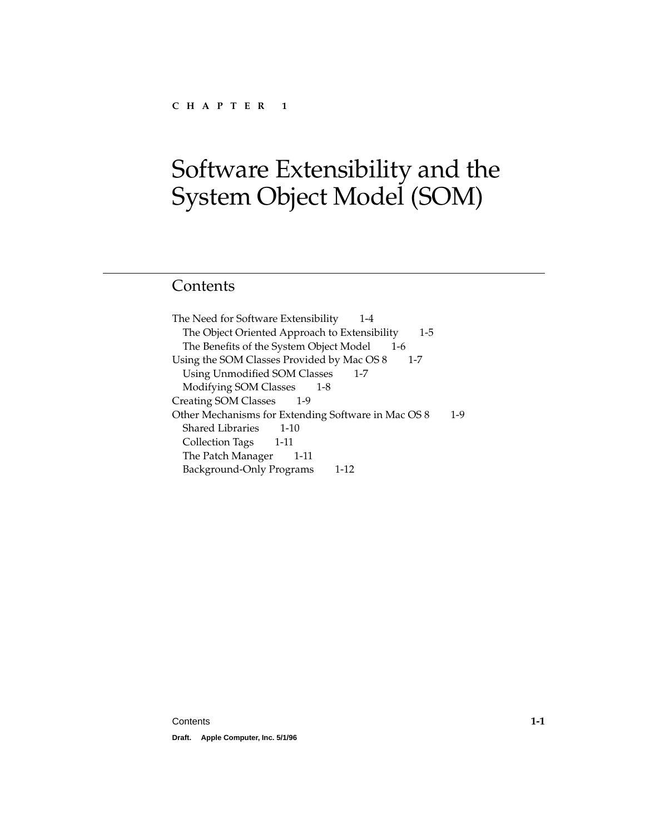# Contents

[The Need for Software Extensibility 1-4](#page-5-0) [The Object Oriented Approach to Extensibility 1-5](#page-6-0) [The Benefits of the System Object Model 1-6](#page-7-0) [Using the SOM Classes Provided by Mac OS 8 1-7](#page-8-0) [Using Unmodified SOM Classes 1-7](#page-8-0) [Modifying SOM Classes 1-8](#page-9-0) [Creating SOM Classes 1-9](#page-10-0) [Other Mechanisms for Extending Software in Mac OS 8 1-9](#page-10-0) [Shared Libraries 1-10](#page-11-0) [Collection Tags 1-11](#page-12-0) [The Patch Manager 1-11](#page-12-0) [Background-Only Programs 1-12](#page-13-0)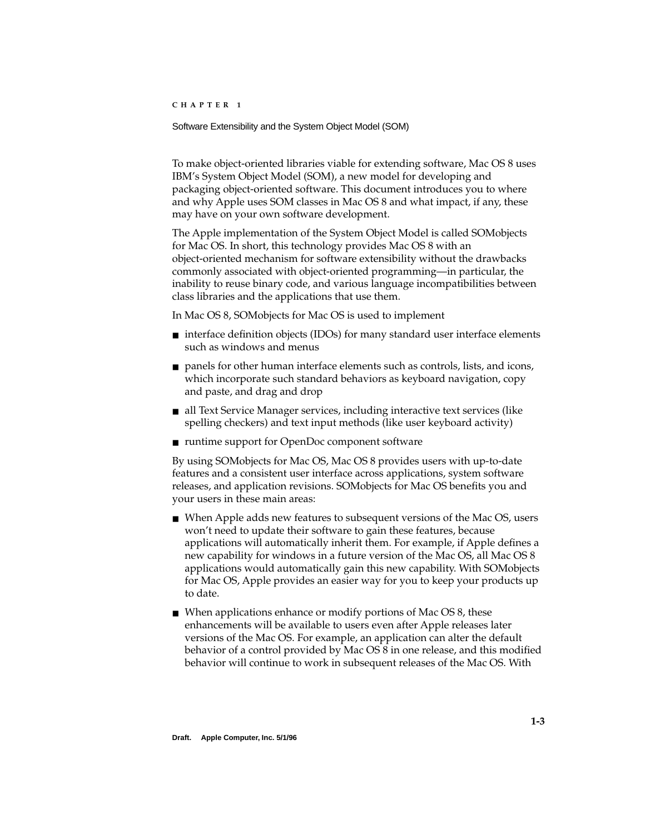<span id="page-4-0"></span>To make object-oriented libraries viable for extending software, Mac OS 8 uses IBM's System Object Model (SOM), a new model for developing and packaging object-oriented software. This document introduces you to where and why Apple uses SOM classes in Mac OS 8 and what impact, if any, these may have on your own software development.

The Apple implementation of the System Object Model is called SOMobjects for Mac OS. In short, this technology provides Mac OS 8 with an object-oriented mechanism for software extensibility without the drawbacks commonly associated with object-oriented programming—in particular, the inability to reuse binary code, and various language incompatibilities between class libraries and the applications that use them.

In Mac OS 8, SOMobjects for Mac OS is used to implement

- interface definition objects (IDOs) for many standard user interface elements such as windows and menus
- panels for other human interface elements such as controls, lists, and icons, which incorporate such standard behaviors as keyboard navigation, copy and paste, and drag and drop
- all Text Service Manager services, including interactive text services (like spelling checkers) and text input methods (like user keyboard activity)
- runtime support for OpenDoc component software

By using SOMobjects for Mac OS, Mac OS 8 provides users with up-to-date features and a consistent user interface across applications, system software releases, and application revisions. SOMobjects for Mac OS benefits you and your users in these main areas:

- When Apple adds new features to subsequent versions of the Mac OS, users won't need to update their software to gain these features, because applications will automatically inherit them. For example, if Apple defines a new capability for windows in a future version of the Mac OS, all Mac OS 8 applications would automatically gain this new capability. With SOMobjects for Mac OS, Apple provides an easier way for you to keep your products up to date.
- When applications enhance or modify portions of Mac OS 8, these enhancements will be available to users even after Apple releases later versions of the Mac OS. For example, an application can alter the default behavior of a control provided by Mac OS 8 in one release, and this modified behavior will continue to work in subsequent releases of the Mac OS. With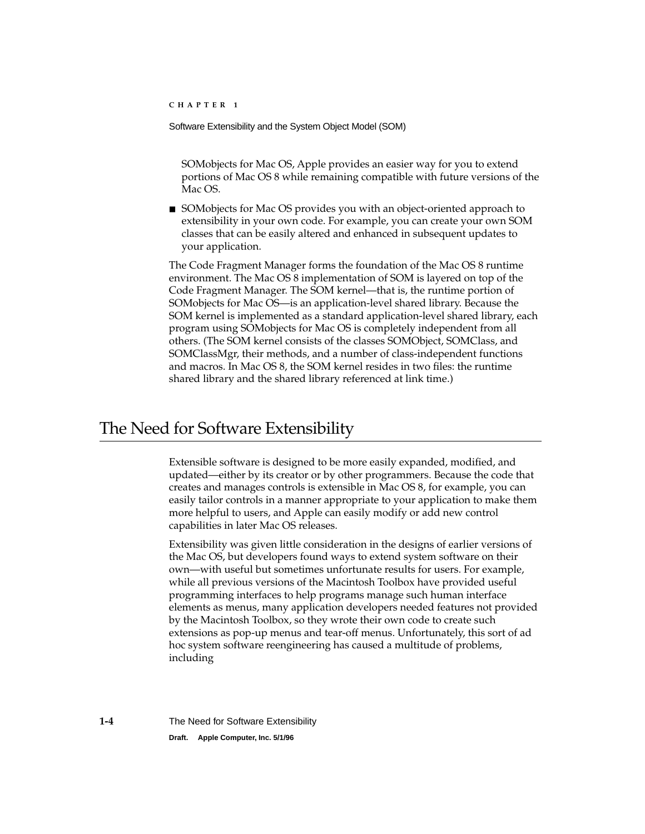<span id="page-5-0"></span>SOMobjects for Mac OS, Apple provides an easier way for you to extend portions of Mac OS 8 while remaining compatible with future versions of the Mac OS.

■ SOMobjects for Mac OS provides you with an object-oriented approach to extensibility in your own code. For example, you can create your own SOM classes that can be easily altered and enhanced in subsequent updates to your application.

The Code Fragment Manager forms the foundation of the Mac OS 8 runtime environment. The Mac OS 8 implementation of SOM is layered on top of the Code Fragment Manager. The SOM kernel—that is, the runtime portion of SOMobjects for Mac OS—is an application-level shared library. Because the SOM kernel is implemented as a standard application-level shared library, each program using SOMobjects for Mac OS is completely independent from all others. (The SOM kernel consists of the classes SOMObject, SOMClass, and SOMClassMgr, their methods, and a number of class-independent functions and macros. In Mac OS 8, the SOM kernel resides in two files: the runtime shared library and the shared library referenced at link time.)

# The Need for Software Extensibility 1

Extensible software is designed to be more easily expanded, modified, and updated—either by its creator or by other programmers. Because the code that creates and manages controls is extensible in Mac OS 8, for example, you can easily tailor controls in a manner appropriate to your application to make them more helpful to users, and Apple can easily modify or add new control capabilities in later Mac OS releases.

Extensibility was given little consideration in the designs of earlier versions of the Mac OS, but developers found ways to extend system software on their own—with useful but sometimes unfortunate results for users. For example, while all previous versions of the Macintosh Toolbox have provided useful programming interfaces to help programs manage such human interface elements as menus, many application developers needed features not provided by the Macintosh Toolbox, so they wrote their own code to create such extensions as pop-up menus and tear-off menus. Unfortunately, this sort of ad hoc system software reengineering has caused a multitude of problems, including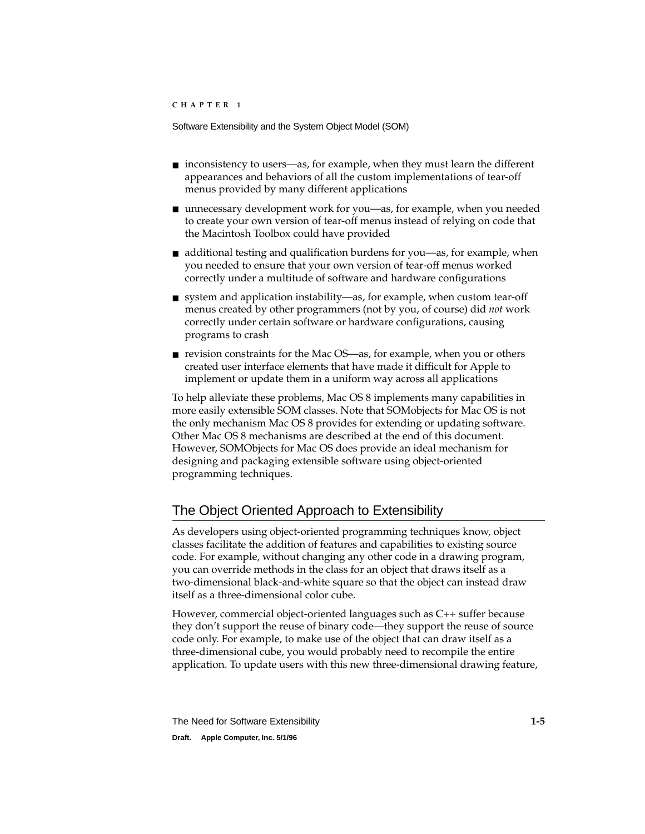- <span id="page-6-0"></span>■ inconsistency to users—as, for example, when they must learn the different appearances and behaviors of all the custom implementations of tear-off menus provided by many different applications
- unnecessary development work for you—as, for example, when you needed to create your own version of tear-off menus instead of relying on code that the Macintosh Toolbox could have provided
- additional testing and qualification burdens for you—as, for example, when you needed to ensure that your own version of tear-off menus worked correctly under a multitude of software and hardware configurations
- system and application instability—as, for example, when custom tear-off menus created by other programmers (not by you, of course) did *not* work correctly under certain software or hardware configurations, causing programs to crash
- revision constraints for the Mac OS—as, for example, when you or others created user interface elements that have made it difficult for Apple to implement or update them in a uniform way across all applications

To help alleviate these problems, Mac OS 8 implements many capabilities in more easily extensible SOM classes. Note that SOMobjects for Mac OS is not the only mechanism Mac OS 8 provides for extending or updating software. Other Mac OS 8 mechanisms are described at the end of this document. However, SOMObjects for Mac OS does provide an ideal mechanism for designing and packaging extensible software using object-oriented programming techniques.

# The Object Oriented Approach to Extensibility 1

As developers using object-oriented programming techniques know, object classes facilitate the addition of features and capabilities to existing source code. For example, without changing any other code in a drawing program, you can override methods in the class for an object that draws itself as a two-dimensional black-and-white square so that the object can instead draw itself as a three-dimensional color cube.

However, commercial object-oriented languages such as C++ suffer because they don't support the reuse of binary code—they support the reuse of source code only. For example, to make use of the object that can draw itself as a three-dimensional cube, you would probably need to recompile the entire application. To update users with this new three-dimensional drawing feature,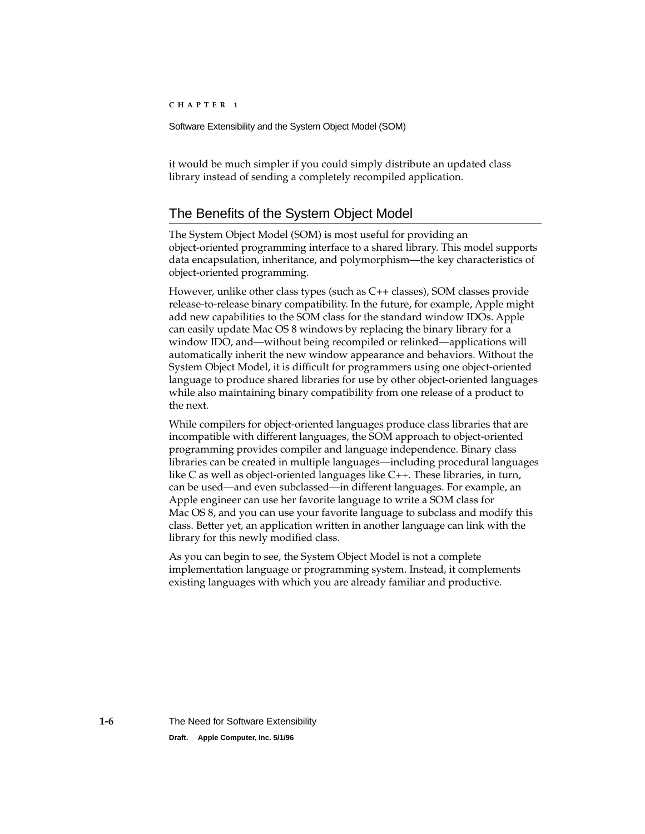<span id="page-7-0"></span>it would be much simpler if you could simply distribute an updated class library instead of sending a completely recompiled application.

## The Benefits of the System Object Model

The System Object Model (SOM) is most useful for providing an object-oriented programming interface to a shared library. This model supports data encapsulation, inheritance, and polymorphism—the key characteristics of object-oriented programming.

However, unlike other class types (such as C++ classes), SOM classes provide release-to-release binary compatibility. In the future, for example, Apple might add new capabilities to the SOM class for the standard window IDOs. Apple can easily update Mac OS 8 windows by replacing the binary library for a window IDO, and—without being recompiled or relinked—applications will automatically inherit the new window appearance and behaviors. Without the System Object Model, it is difficult for programmers using one object-oriented language to produce shared libraries for use by other object-oriented languages while also maintaining binary compatibility from one release of a product to the next.

While compilers for object-oriented languages produce class libraries that are incompatible with different languages, the SOM approach to object-oriented programming provides compiler and language independence. Binary class libraries can be created in multiple languages—including procedural languages like C as well as object-oriented languages like C++. These libraries, in turn, can be used—and even subclassed—in different languages. For example, an Apple engineer can use her favorite language to write a SOM class for Mac OS 8, and you can use your favorite language to subclass and modify this class. Better yet, an application written in another language can link with the library for this newly modified class.

As you can begin to see, the System Object Model is not a complete implementation language or programming system. Instead, it complements existing languages with which you are already familiar and productive.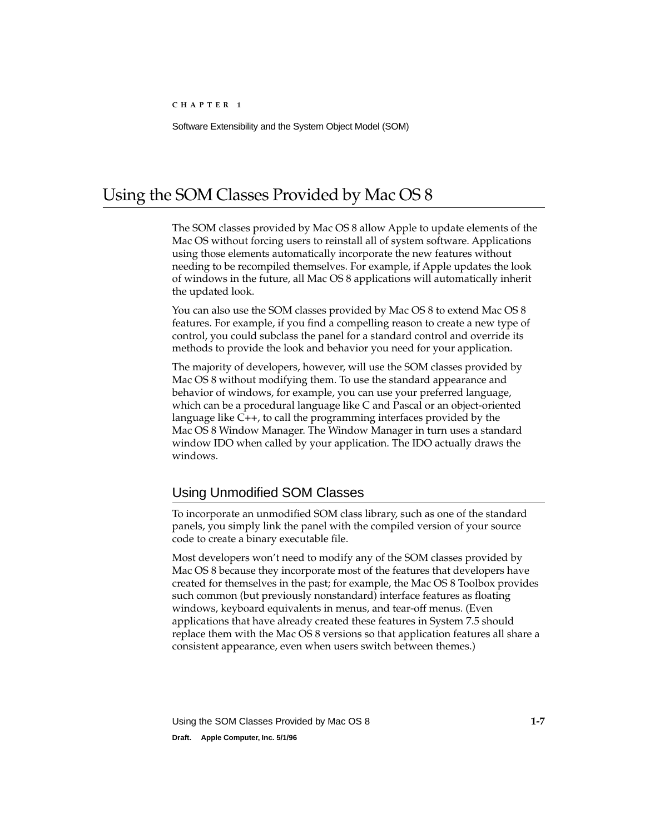# <span id="page-8-0"></span>Using the SOM Classes Provided by Mac OS 8 1

The SOM classes provided by Mac OS 8 allow Apple to update elements of the Mac OS without forcing users to reinstall all of system software. Applications using those elements automatically incorporate the new features without needing to be recompiled themselves. For example, if Apple updates the look of windows in the future, all Mac OS 8 applications will automatically inherit the updated look.

You can also use the SOM classes provided by Mac OS 8 to extend Mac OS 8 features. For example, if you find a compelling reason to create a new type of control, you could subclass the panel for a standard control and override its methods to provide the look and behavior you need for your application.

The majority of developers, however, will use the SOM classes provided by Mac OS 8 without modifying them. To use the standard appearance and behavior of windows, for example, you can use your preferred language, which can be a procedural language like C and Pascal or an object-oriented language like C++, to call the programming interfaces provided by the Mac OS 8 Window Manager. The Window Manager in turn uses a standard window IDO when called by your application. The IDO actually draws the windows.

## Using Unmodified SOM Classes 1

To incorporate an unmodified SOM class library, such as one of the standard panels, you simply link the panel with the compiled version of your source code to create a binary executable file.

Most developers won't need to modify any of the SOM classes provided by Mac OS 8 because they incorporate most of the features that developers have created for themselves in the past; for example, the Mac OS 8 Toolbox provides such common (but previously nonstandard) interface features as floating windows, keyboard equivalents in menus, and tear-off menus. (Even applications that have already created these features in System 7.5 should replace them with the Mac OS 8 versions so that application features all share a consistent appearance, even when users switch between themes.)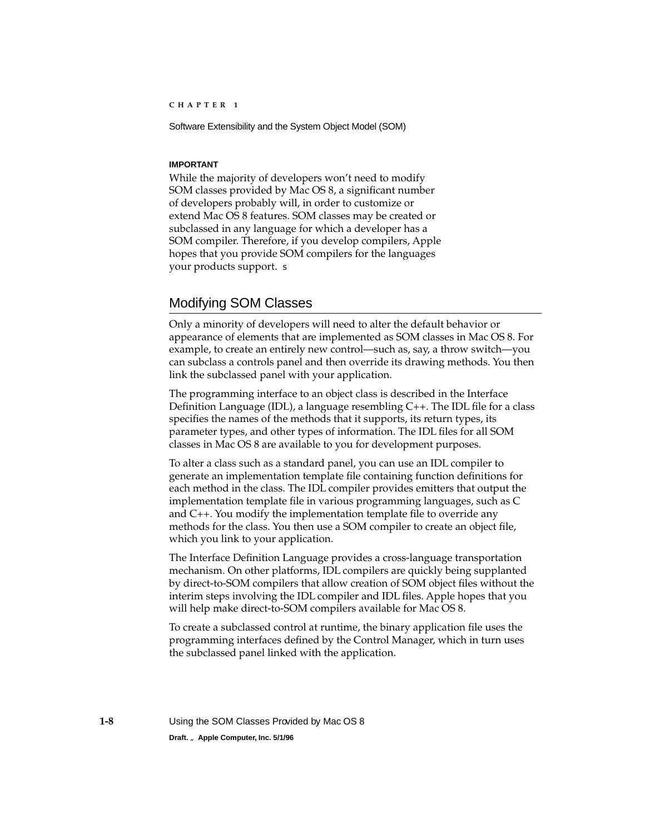#### <span id="page-9-0"></span>**IMPORTANT**

While the majority of developers won't need to modify SOM classes provided by Mac OS 8, a significant number of developers probably will, in order to customize or extend Mac OS 8 features. SOM classes may be created or subclassed in any language for which a developer has a SOM compiler. Therefore, if you develop compilers, Apple hopes that you provide SOM compilers for the languages your products support. ▲

### Modifying SOM Classes 1

Only a minority of developers will need to alter the default behavior or appearance of elements that are implemented as SOM classes in Mac OS 8. For example, to create an entirely new control—such as, say, a throw switch—you can subclass a controls panel and then override its drawing methods. You then link the subclassed panel with your application.

The programming interface to an object class is described in the Interface Definition Language (IDL), a language resembling C++. The IDL file for a class specifies the names of the methods that it supports, its return types, its parameter types, and other types of information. The IDL files for all SOM classes in Mac OS 8 are available to you for development purposes.

To alter a class such as a standard panel, you can use an IDL compiler to generate an implementation template file containing function definitions for each method in the class. The IDL compiler provides emitters that output the implementation template file in various programming languages, such as C and C++. You modify the implementation template file to override any methods for the class. You then use a SOM compiler to create an object file, which you link to your application.

The Interface Definition Language provides a cross-language transportation mechanism. On other platforms, IDL compilers are quickly being supplanted by direct-to-SOM compilers that allow creation of SOM object files without the interim steps involving the IDL compiler and IDL files. Apple hopes that you will help make direct-to-SOM compilers available for Mac OS 8.

To create a subclassed control at runtime, the binary application file uses the programming interfaces defined by the Control Manager, which in turn uses the subclassed panel linked with the application.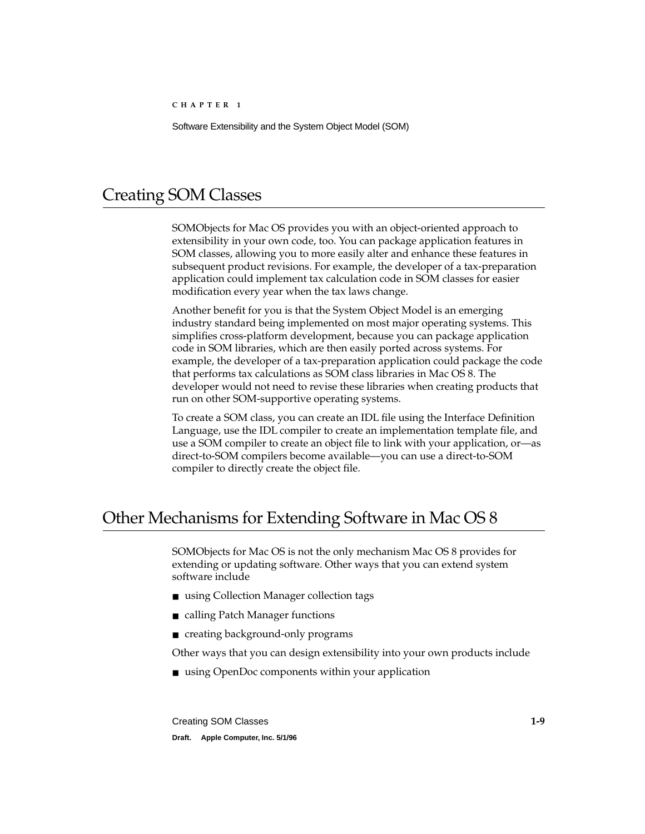# <span id="page-10-0"></span>Creating SOM Classes 1

SOMObjects for Mac OS provides you with an object-oriented approach to extensibility in your own code, too. You can package application features in SOM classes, allowing you to more easily alter and enhance these features in subsequent product revisions. For example, the developer of a tax-preparation application could implement tax calculation code in SOM classes for easier modification every year when the tax laws change.

Another benefit for you is that the System Object Model is an emerging industry standard being implemented on most major operating systems. This simplifies cross-platform development, because you can package application code in SOM libraries, which are then easily ported across systems. For example, the developer of a tax-preparation application could package the code that performs tax calculations as SOM class libraries in Mac OS 8. The developer would not need to revise these libraries when creating products that run on other SOM-supportive operating systems.

To create a SOM class, you can create an IDL file using the Interface Definition Language, use the IDL compiler to create an implementation template file, and use a SOM compiler to create an object file to link with your application, or—as direct-to-SOM compilers become available—you can use a direct-to-SOM compiler to directly create the object file.

# Other Mechanisms for Extending Software in Mac OS 8 1

SOMObjects for Mac OS is not the only mechanism Mac OS 8 provides for extending or updating software. Other ways that you can extend system software include

- using Collection Manager collection tags
- calling Patch Manager functions
- creating background-only programs

Other ways that you can design extensibility into your own products include

■ using OpenDoc components within your application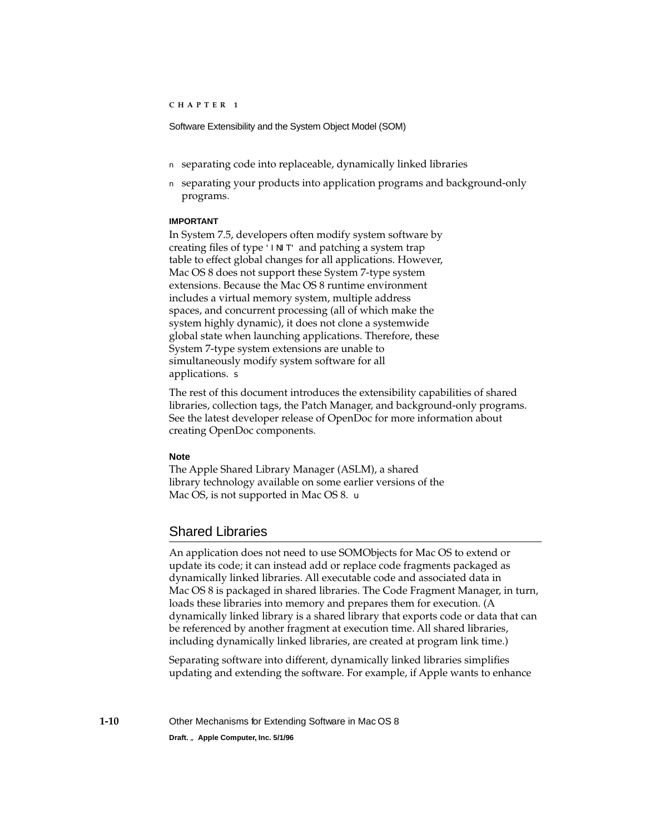- <span id="page-11-0"></span>■ separating code into replaceable, dynamically linked libraries
- separating your products into application programs and background-only programs.

#### **IMPORTANT**

In System 7.5, developers often modify system software by creating files of type 'INIT' and patching a system trap table to effect global changes for all applications. However, Mac OS 8 does not support these System 7-type system extensions. Because the Mac OS 8 runtime environment includes a virtual memory system, multiple address spaces, and concurrent processing (all of which make the system highly dynamic), it does not clone a systemwide global state when launching applications. Therefore, these System 7-type system extensions are unable to simultaneously modify system software for all applications. ▲

The rest of this document introduces the extensibility capabilities of shared libraries, collection tags, the Patch Manager, and background-only programs. See the latest developer release of OpenDoc for more information about creating OpenDoc components.

### **Note**

The Apple Shared Library Manager (ASLM), a shared library technology available on some earlier versions of the Mac OS, is not supported in Mac OS 8.  $\triangleleft$ 

### Shared Libraries 1

An application does not need to use SOMObjects for Mac OS to extend or update its code; it can instead add or replace code fragments packaged as dynamically linked libraries. All executable code and associated data in Mac OS 8 is packaged in shared libraries. The Code Fragment Manager, in turn, loads these libraries into memory and prepares them for execution. (A dynamically linked library is a shared library that exports code or data that can be referenced by another fragment at execution time. All shared libraries, including dynamically linked libraries, are created at program link time.)

Separating software into different, dynamically linked libraries simplifies updating and extending the software. For example, if Apple wants to enhance

**1-10** Other Mechanisms for Extending Software in Mac OS 8 **Draft. Apple Computer, Inc. 5/1/96**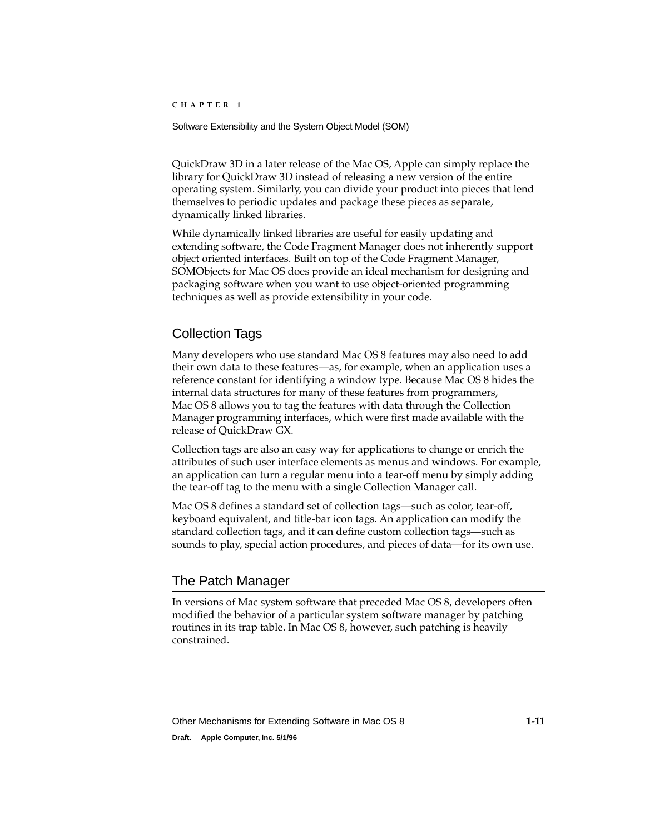<span id="page-12-0"></span>Software Extensibility and the System Object Model (SOM)

QuickDraw 3D in a later release of the Mac OS, Apple can simply replace the library for QuickDraw 3D instead of releasing a new version of the entire operating system. Similarly, you can divide your product into pieces that lend themselves to periodic updates and package these pieces as separate, dynamically linked libraries.

While dynamically linked libraries are useful for easily updating and extending software, the Code Fragment Manager does not inherently support object oriented interfaces. Built on top of the Code Fragment Manager, SOMObjects for Mac OS does provide an ideal mechanism for designing and packaging software when you want to use object-oriented programming techniques as well as provide extensibility in your code.

### Collection Tags 1

Many developers who use standard Mac OS 8 features may also need to add their own data to these features—as, for example, when an application uses a reference constant for identifying a window type. Because Mac OS 8 hides the internal data structures for many of these features from programmers, Mac OS 8 allows you to tag the features with data through the Collection Manager programming interfaces, which were first made available with the release of QuickDraw GX.

Collection tags are also an easy way for applications to change or enrich the attributes of such user interface elements as menus and windows. For example, an application can turn a regular menu into a tear-off menu by simply adding the tear-off tag to the menu with a single Collection Manager call.

Mac OS 8 defines a standard set of collection tags—such as color, tear-off, keyboard equivalent, and title-bar icon tags. An application can modify the standard collection tags, and it can define custom collection tags—such as sounds to play, special action procedures, and pieces of data—for its own use.

### The Patch Manager 1

In versions of Mac system software that preceded Mac OS 8, developers often modified the behavior of a particular system software manager by patching routines in its trap table. In Mac OS 8, however, such patching is heavily constrained.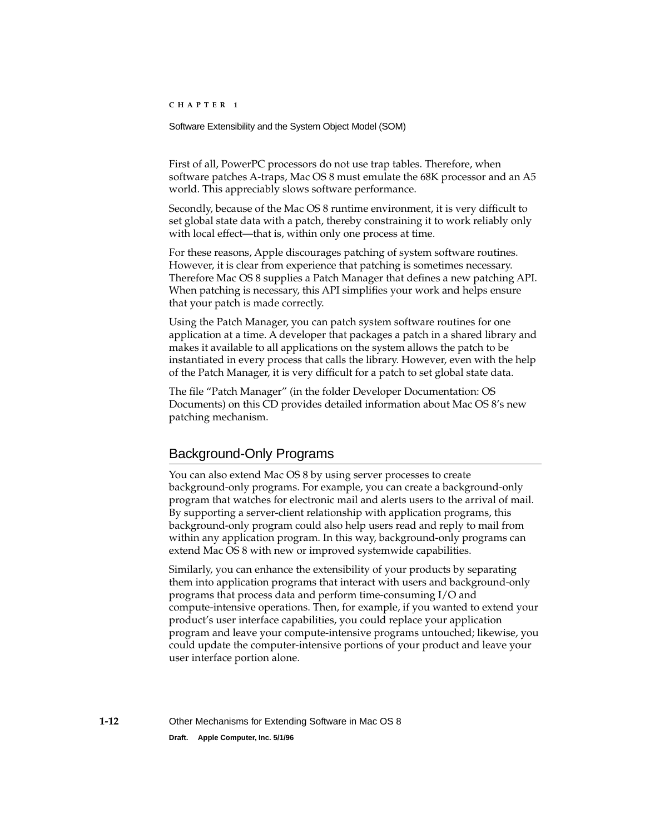<span id="page-13-0"></span>Software Extensibility and the System Object Model (SOM)

First of all, PowerPC processors do not use trap tables. Therefore, when software patches A-traps, Mac OS 8 must emulate the 68K processor and an A5 world. This appreciably slows software performance.

Secondly, because of the Mac OS 8 runtime environment, it is very difficult to set global state data with a patch, thereby constraining it to work reliably only with local effect—that is, within only one process at time.

For these reasons, Apple discourages patching of system software routines. However, it is clear from experience that patching is sometimes necessary. Therefore Mac OS 8 supplies a Patch Manager that defines a new patching API. When patching is necessary, this API simplifies your work and helps ensure that your patch is made correctly.

Using the Patch Manager, you can patch system software routines for one application at a time. A developer that packages a patch in a shared library and makes it available to all applications on the system allows the patch to be instantiated in every process that calls the library. However, even with the help of the Patch Manager, it is very difficult for a patch to set global state data.

The file "Patch Manager" (in the folder Developer Documentation: OS Documents) on this CD provides detailed information about Mac OS 8's new patching mechanism.

### Background-Only Programs 1

You can also extend Mac OS 8 by using server processes to create background-only programs. For example, you can create a background-only program that watches for electronic mail and alerts users to the arrival of mail. By supporting a server-client relationship with application programs, this background-only program could also help users read and reply to mail from within any application program. In this way, background-only programs can extend Mac OS 8 with new or improved systemwide capabilities.

Similarly, you can enhance the extensibility of your products by separating them into application programs that interact with users and background-only programs that process data and perform time-consuming I/O and compute-intensive operations. Then, for example, if you wanted to extend your product's user interface capabilities, you could replace your application program and leave your compute-intensive programs untouched; likewise, you could update the computer-intensive portions of your product and leave your user interface portion alone.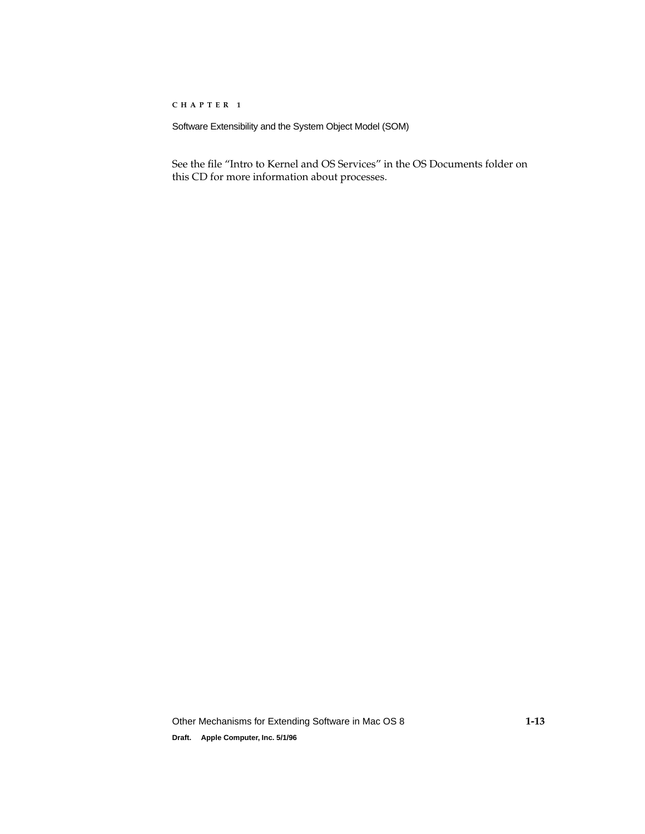Software Extensibility and the System Object Model (SOM)

See the file "Intro to Kernel and OS Services" in the OS Documents folder on this CD for more information about processes.